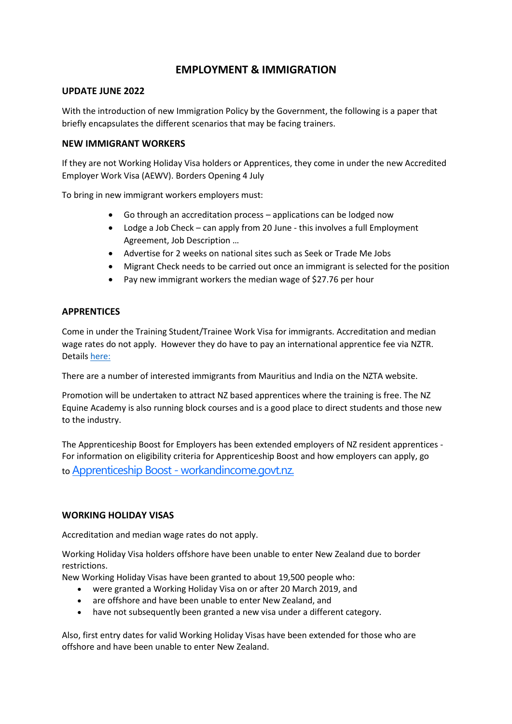# **EMPLOYMENT & IMMIGRATION**

# **UPDATE JUNE 2022**

With the introduction of new Immigration Policy by the Government, the following is a paper that briefly encapsulates the different scenarios that may be facing trainers.

### **NEW IMMIGRANT WORKERS**

If they are not Working Holiday Visa holders or Apprentices, they come in under the new Accredited Employer Work Visa (AEWV). Borders Opening 4 July

To bring in new immigrant workers employers must:

- Go through an accreditation process applications can be lodged now
- Lodge a Job Check can apply from 20 June this involves a full Employment Agreement, Job Description …
- Advertise for 2 weeks on national sites such as Seek or Trade Me Jobs
- Migrant Check needs to be carried out once an immigrant is selected for the position
- Pay new immigrant workers the median wage of \$27.76 per hour

### **APPRENTICES**

Come in under the Training Student/Trainee Work Visa for immigrants. Accreditation and median wage rates do not apply. However they do have to pay an international apprentice fee via NZTR. Details [here:](https://www.nztrainers.co.nz/media/1036/international-apprentice-jockeys-nztr-information-pamphlet.pdf)

There are a number of interested immigrants from Mauritius and India on the NZTA website.

Promotion will be undertaken to attract NZ based apprentices where the training is free. The NZ Equine Academy is also running block courses and is a good place to direct students and those new to the industry.

The Apprenticeship Boost for Employers has been extended employers of NZ resident apprentices - For information on eligibility criteria for Apprenticeship Boost and how employers can apply, go to Apprenticeship Boost - [workandincome.govt.nz.](https://www.workandincome.govt.nz/employers/subsidies-training-and-other-help/apprenticeship-boost/index.html)

#### **WORKING HOLIDAY VISAS**

Accreditation and median wage rates do not apply.

Working Holiday Visa holders offshore have been unable to enter New Zealand due to border restrictions.

New Working Holiday Visas have been granted to about 19,500 people who:

- were granted a Working Holiday Visa on or after 20 March 2019, and
- are offshore and have been unable to enter New Zealand, and
- have not subsequently been granted a new visa under a different category.

Also, first entry dates for valid Working Holiday Visas have been extended for those who are offshore and have been unable to enter New Zealand.